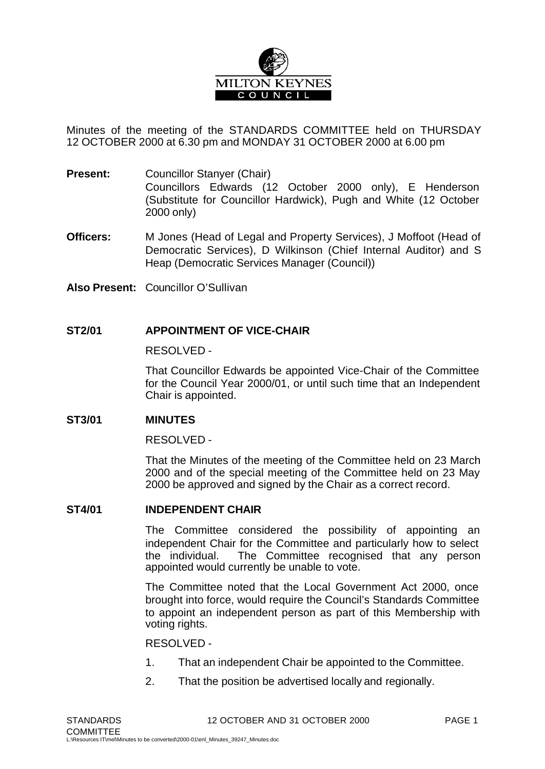

Minutes of the meeting of the STANDARDS COMMITTEE held on THURSDAY 12 OCTOBER 2000 at 6.30 pm and MONDAY 31 OCTOBER 2000 at 6.00 pm

- **Present:** Councillor Stanyer (Chair) Councillors Edwards (12 October 2000 only), E Henderson (Substitute for Councillor Hardwick), Pugh and White (12 October 2000 only)
- **Officers:** M Jones (Head of Legal and Property Services), J Moffoot (Head of Democratic Services), D Wilkinson (Chief Internal Auditor) and S Heap (Democratic Services Manager (Council))
- **Also Present:** Councillor O'Sullivan

## **ST2/01 APPOINTMENT OF VICE-CHAIR**

RESOLVED -

That Councillor Edwards be appointed Vice-Chair of the Committee for the Council Year 2000/01, or until such time that an Independent Chair is appointed.

#### **ST3/01 MINUTES**

RESOLVED -

That the Minutes of the meeting of the Committee held on 23 March 2000 and of the special meeting of the Committee held on 23 May 2000 be approved and signed by the Chair as a correct record.

#### **ST4/01 INDEPENDENT CHAIR**

The Committee considered the possibility of appointing an independent Chair for the Committee and particularly how to select the individual. The Committee recognised that any person appointed would currently be unable to vote.

The Committee noted that the Local Government Act 2000, once brought into force, would require the Council's Standards Committee to appoint an independent person as part of this Membership with voting rights.

#### RESOLVED -

- 1. That an independent Chair be appointed to the Committee.
- 2. That the position be advertised locally and regionally.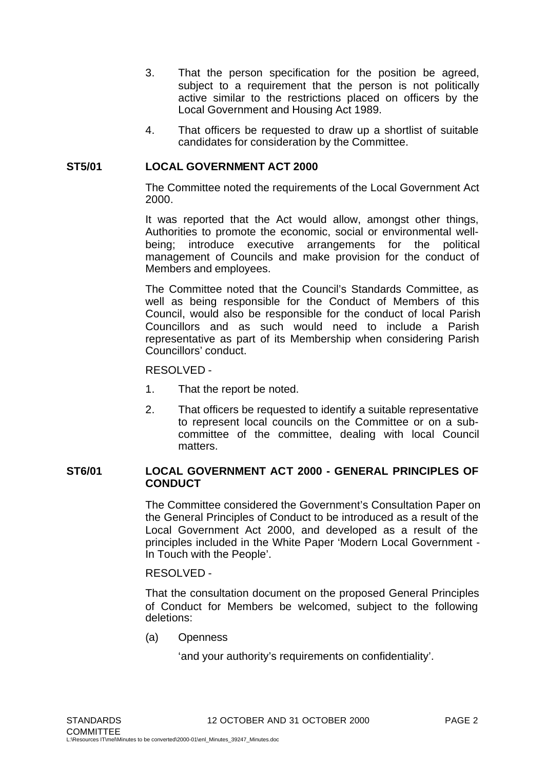- 3. That the person specification for the position be agreed, subject to a requirement that the person is not politically active similar to the restrictions placed on officers by the Local Government and Housing Act 1989.
- 4. That officers be requested to draw up a shortlist of suitable candidates for consideration by the Committee.

### **ST5/01 LOCAL GOVERNMENT ACT 2000**

The Committee noted the requirements of the Local Government Act 2000.

It was reported that the Act would allow, amongst other things, Authorities to promote the economic, social or environmental wellbeing; introduce executive arrangements for the political management of Councils and make provision for the conduct of Members and employees.

The Committee noted that the Council's Standards Committee, as well as being responsible for the Conduct of Members of this Council, would also be responsible for the conduct of local Parish Councillors and as such would need to include a Parish representative as part of its Membership when considering Parish Councillors' conduct.

RESOLVED -

- 1. That the report be noted.
- 2. That officers be requested to identify a suitable representative to represent local councils on the Committee or on a subcommittee of the committee, dealing with local Council matters.

# **ST6/01 LOCAL GOVERNMENT ACT 2000 - GENERAL PRINCIPLES OF CONDUCT**

The Committee considered the Government's Consultation Paper on the General Principles of Conduct to be introduced as a result of the Local Government Act 2000, and developed as a result of the principles included in the White Paper 'Modern Local Government - In Touch with the People'.

#### RESOLVED -

That the consultation document on the proposed General Principles of Conduct for Members be welcomed, subject to the following deletions:

(a) Openness

'and your authority's requirements on confidentiality'.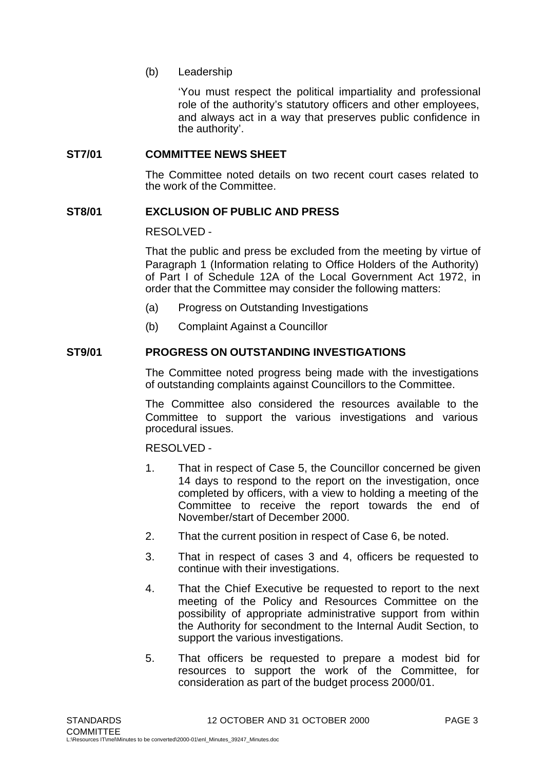(b) Leadership

'You must respect the political impartiality and professional role of the authority's statutory officers and other employees, and always act in a way that preserves public confidence in the authority'.

## **ST7/01 COMMITTEE NEWS SHEET**

The Committee noted details on two recent court cases related to the work of the Committee.

## **ST8/01 EXCLUSION OF PUBLIC AND PRESS**

RESOLVED -

That the public and press be excluded from the meeting by virtue of Paragraph 1 (Information relating to Office Holders of the Authority) of Part I of Schedule 12A of the Local Government Act 1972, in order that the Committee may consider the following matters:

- (a) Progress on Outstanding Investigations
- (b) Complaint Against a Councillor

## **ST9/01 PROGRESS ON OUTSTANDING INVESTIGATIONS**

The Committee noted progress being made with the investigations of outstanding complaints against Councillors to the Committee.

The Committee also considered the resources available to the Committee to support the various investigations and various procedural issues.

RESOLVED -

- 1. That in respect of Case 5, the Councillor concerned be given 14 days to respond to the report on the investigation, once completed by officers, with a view to holding a meeting of the Committee to receive the report towards the end of November/start of December 2000.
- 2. That the current position in respect of Case 6, be noted.
- 3. That in respect of cases 3 and 4, officers be requested to continue with their investigations.
- 4. That the Chief Executive be requested to report to the next meeting of the Policy and Resources Committee on the possibility of appropriate administrative support from within the Authority for secondment to the Internal Audit Section, to support the various investigations.
- 5. That officers be requested to prepare a modest bid for resources to support the work of the Committee, for consideration as part of the budget process 2000/01.